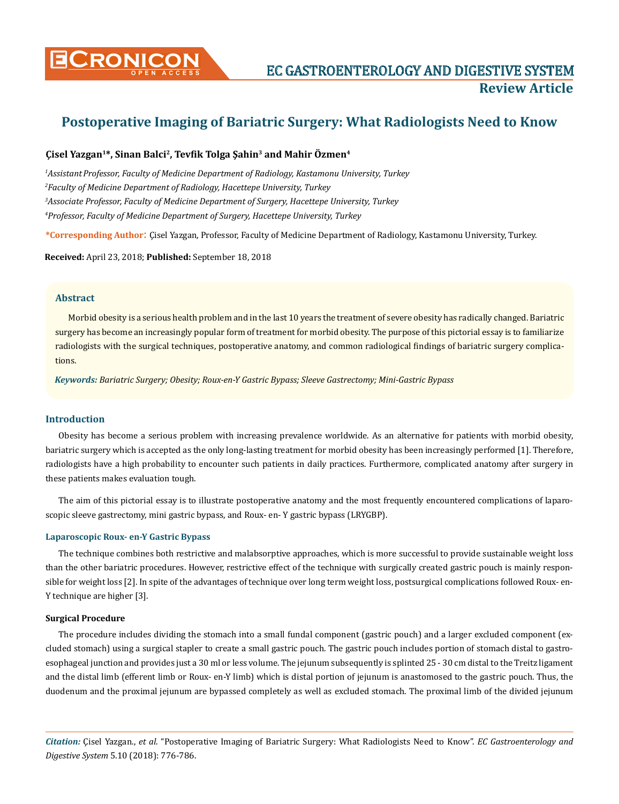

# **Postoperative Imaging of Bariatric Surgery: What Radiologists Need to Know**

# **Çisel Yazgan1\*, Sinan Balci2, Tevfik Tolga Şahin3 and Mahir Özmen4**

<sup>1</sup> Assistant Professor, Faculty of Medicine Department of Radiology, Kastamonu University, Turkey *Faculty of Medicine Department of Radiology, Hacettepe University, Turkey Associate Professor, Faculty of Medicine Department of Surgery, Hacettepe University, Turkey Professor, Faculty of Medicine Department of Surgery, Hacettepe University, Turkey*

**\*Corresponding Author**: Çisel Yazgan, Professor, Faculty of Medicine Department of Radiology, Kastamonu University, Turkey.

**Received:** April 23, 2018; **Published:** September 18, 2018

## **Abstract**

Morbid obesity is a serious health problem and in the last 10 years the treatment of severe obesity has radically changed. Bariatric surgery has become an increasingly popular form of treatment for morbid obesity. The purpose of this pictorial essay is to familiarize radiologists with the surgical techniques, postoperative anatomy, and common radiological findings of bariatric surgery complications.

*Keywords: Bariatric Surgery; Obesity; Roux-en-Y Gastric Bypass; Sleeve Gastrectomy; Mini-Gastric Bypass*

# **Introduction**

Obesity has become a serious problem with increasing prevalence worldwide. As an alternative for patients with morbid obesity, bariatric surgery which is accepted as the only long-lasting treatment for morbid obesity has been increasingly performed [1]. Therefore, radiologists have a high probability to encounter such patients in daily practices. Furthermore, complicated anatomy after surgery in these patients makes evaluation tough.

The aim of this pictorial essay is to illustrate postoperative anatomy and the most frequently encountered complications of laparoscopic sleeve gastrectomy, mini gastric bypass, and Roux- en- Y gastric bypass (LRYGBP).

#### **Laparoscopic Roux- en-Y Gastric Bypass**

The technique combines both restrictive and malabsorptive approaches, which is more successful to provide sustainable weight loss than the other bariatric procedures. However, restrictive effect of the technique with surgically created gastric pouch is mainly responsible for weight loss [2]. In spite of the advantages of technique over long term weight loss, postsurgical complications followed Roux- en-Y technique are higher [3].

#### **Surgical Procedure**

The procedure includes dividing the stomach into a small fundal component (gastric pouch) and a larger excluded component (excluded stomach) using a surgical stapler to create a small gastric pouch. The gastric pouch includes portion of stomach distal to gastroesophageal junction and provides just a 30 ml or less volume. The jejunum subsequently is splinted 25 - 30 cm distal to the Treitz ligament and the distal limb (efferent limb or Roux- en-Y limb) which is distal portion of jejunum is anastomosed to the gastric pouch. Thus, the duodenum and the proximal jejunum are bypassed completely as well as excluded stomach. The proximal limb of the divided jejunum

*Citation:* Çisel Yazgan., *et al*. "Postoperative Imaging of Bariatric Surgery: What Radiologists Need to Know". *EC Gastroenterology and Digestive System* 5.10 (2018): 776-786.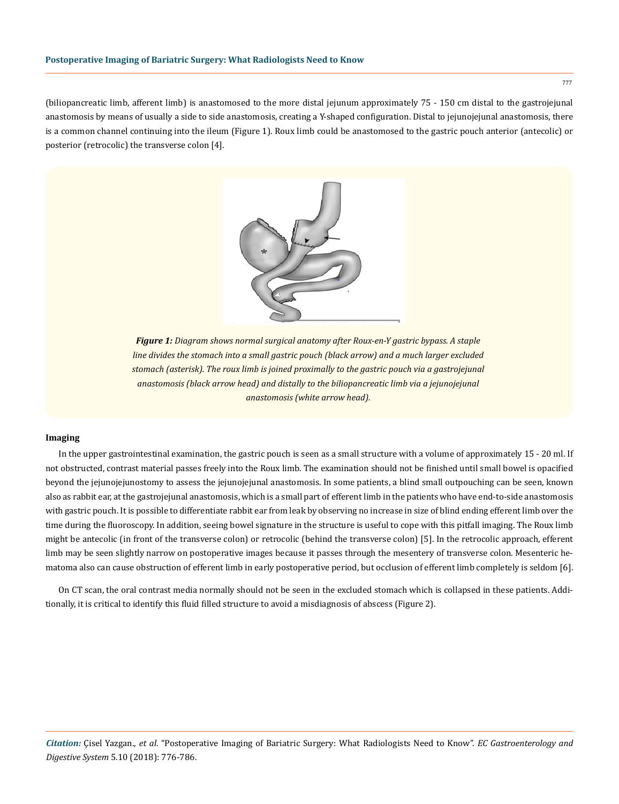(biliopancreatic limb, afferent limb) is anastomosed to the more distal jejunum approximately 75 - 150 cm distal to the gastrojejunal anastomosis by means of usually a side to side anastomosis, creating a Y-shaped configuration. Distal to jejunojejunal anastomosis, there is a common channel continuing into the ileum (Figure 1). Roux limb could be anastomosed to the gastric pouch anterior (antecolic) or posterior (retrocolic) the transverse colon [4].



*Figure 1: Diagram shows normal surgical anatomy after Roux-en-Y gastric bypass. A staple line divides the stomach into a small gastric pouch (black arrow) and a much larger excluded stomach (asterisk). The roux limb is joined proximally to the gastric pouch via a gastrojejunal anastomosis (black arrow head) and distally to the biliopancreatic limb via a jejunojejunal anastomosis (white arrow head).*

#### **Imaging**

In the upper gastrointestinal examination, the gastric pouch is seen as a small structure with a volume of approximately 15 - 20 ml. If not obstructed, contrast material passes freely into the Roux limb. The examination should not be finished until small bowel is opacified beyond the jejunojejunostomy to assess the jejunojejunal anastomosis. In some patients, a blind small outpouching can be seen, known also as rabbit ear, at the gastrojejunal anastomosis, which is a small part of efferent limb in the patients who have end-to-side anastomosis with gastric pouch. It is possible to differentiate rabbit ear from leak by observing no increase in size of blind ending efferent limb over the time during the fluoroscopy. In addition, seeing bowel signature in the structure is useful to cope with this pitfall imaging. The Roux limb might be antecolic (in front of the transverse colon) or retrocolic (behind the transverse colon) [5]. In the retrocolic approach, efferent limb may be seen slightly narrow on postoperative images because it passes through the mesentery of transverse colon. Mesenteric hematoma also can cause obstruction of efferent limb in early postoperative period, but occlusion of efferent limb completely is seldom [6].

On CT scan, the oral contrast media normally should not be seen in the excluded stomach which is collapsed in these patients. Additionally, it is critical to identify this fluid filled structure to avoid a misdiagnosis of abscess (Figure 2).

*Citation:* Çisel Yazgan., *et al*. "Postoperative Imaging of Bariatric Surgery: What Radiologists Need to Know". *EC Gastroenterology and Digestive System* 5.10 (2018): 776-786.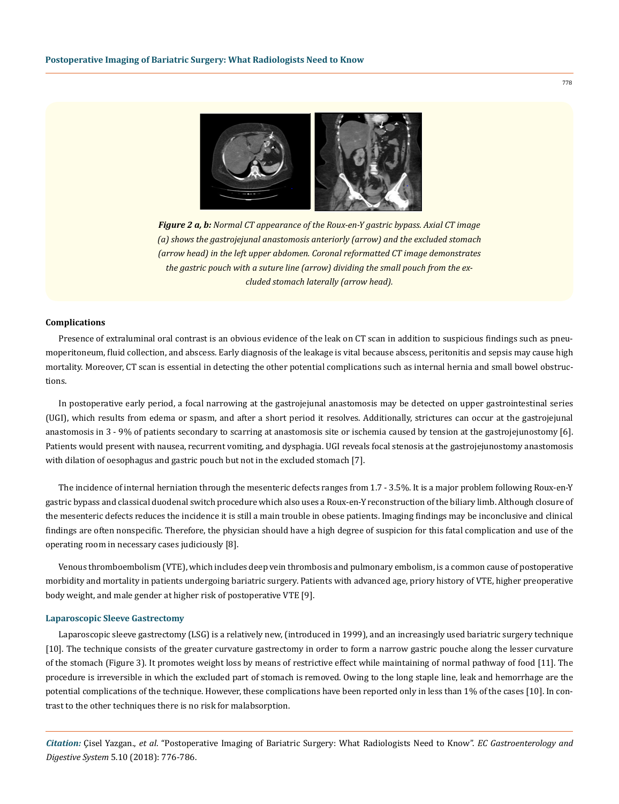

*Figure 2 a, b: Normal CT appearance of the Roux-en-Y gastric bypass. Axial CT image (a) shows the gastrojejunal anastomosis anteriorly (arrow) and the excluded stomach (arrow head) in the left upper abdomen. Coronal reformatted CT image demonstrates the gastric pouch with a suture line (arrow) dividing the small pouch from the excluded stomach laterally (arrow head).*

### **Complications**

Presence of extraluminal oral contrast is an obvious evidence of the leak on CT scan in addition to suspicious findings such as pneumoperitoneum, fluid collection, and abscess. Early diagnosis of the leakage is vital because abscess, peritonitis and sepsis may cause high mortality. Moreover, CT scan is essential in detecting the other potential complications such as internal hernia and small bowel obstructions.

In postoperative early period, a focal narrowing at the gastrojejunal anastomosis may be detected on upper gastrointestinal series (UGI), which results from edema or spasm, and after a short period it resolves. Additionally, strictures can occur at the gastrojejunal anastomosis in 3 - 9% of patients secondary to scarring at anastomosis site or ischemia caused by tension at the gastrojejunostomy [6]. Patients would present with nausea, recurrent vomiting, and dysphagia. UGI reveals focal stenosis at the gastrojejunostomy anastomosis with dilation of oesophagus and gastric pouch but not in the excluded stomach [7].

The incidence of internal herniation through the mesenteric defects ranges from 1.7 - 3.5%. It is a major problem following Roux-en-Y gastric bypass and classical duodenal switch procedure which also uses a Roux-en-Y reconstruction of the biliary limb. Although closure of the mesenteric defects reduces the incidence it is still a main trouble in obese patients. Imaging findings may be inconclusive and clinical findings are often nonspecific. Therefore, the physician should have a high degree of suspicion for this fatal complication and use of the operating room in necessary cases judiciously [8].

Venous thromboembolism (VTE), which includes deep vein thrombosis and pulmonary embolism, is a common cause of postoperative morbidity and mortality in patients undergoing bariatric surgery. Patients with advanced age, priory history of VTE, higher preoperative body weight, and male gender at higher risk of postoperative VTE [9].

#### **Laparoscopic Sleeve Gastrectomy**

Laparoscopic sleeve gastrectomy (LSG) is a relatively new, (introduced in 1999), and an increasingly used bariatric surgery technique [10]. The technique consists of the greater curvature gastrectomy in order to form a narrow gastric pouche along the lesser curvature of the stomach (Figure 3). It promotes weight loss by means of restrictive effect while maintaining of normal pathway of food [11]. The procedure is irreversible in which the excluded part of stomach is removed. Owing to the long staple line, leak and hemorrhage are the potential complications of the technique. However, these complications have been reported only in less than 1% of the cases [10]. In contrast to the other techniques there is no risk for malabsorption.

*Citation:* Çisel Yazgan., *et al*. "Postoperative Imaging of Bariatric Surgery: What Radiologists Need to Know". *EC Gastroenterology and Digestive System* 5.10 (2018): 776-786.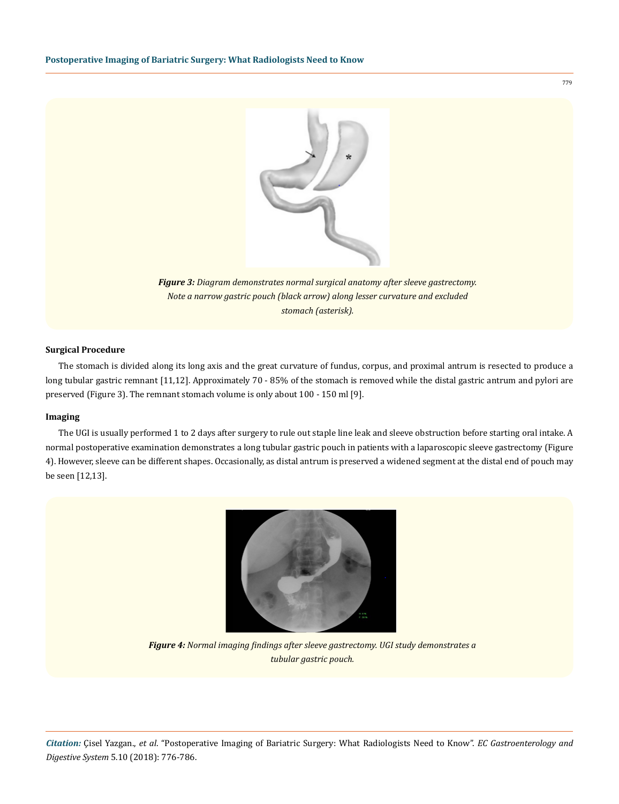

*Figure 3: Diagram demonstrates normal surgical anatomy after sleeve gastrectomy. Note a narrow gastric pouch (black arrow) along lesser curvature and excluded stomach (asterisk).*

## **Surgical Procedure**

The stomach is divided along its long axis and the great curvature of fundus, corpus, and proximal antrum is resected to produce a long tubular gastric remnant [11,12]. Approximately 70 - 85% of the stomach is removed while the distal gastric antrum and pylori are preserved (Figure 3). The remnant stomach volume is only about 100 - 150 ml [9].

## **Imaging**

The UGI is usually performed 1 to 2 days after surgery to rule out staple line leak and sleeve obstruction before starting oral intake. A normal postoperative examination demonstrates a long tubular gastric pouch in patients with a laparoscopic sleeve gastrectomy (Figure 4). However, sleeve can be different shapes. Occasionally, as distal antrum is preserved a widened segment at the distal end of pouch may be seen [12,13].



*Figure 4: Normal imaging findings after sleeve gastrectomy. UGI study demonstrates a tubular gastric pouch.*

*Citation:* Çisel Yazgan., *et al*. "Postoperative Imaging of Bariatric Surgery: What Radiologists Need to Know". *EC Gastroenterology and Digestive System* 5.10 (2018): 776-786.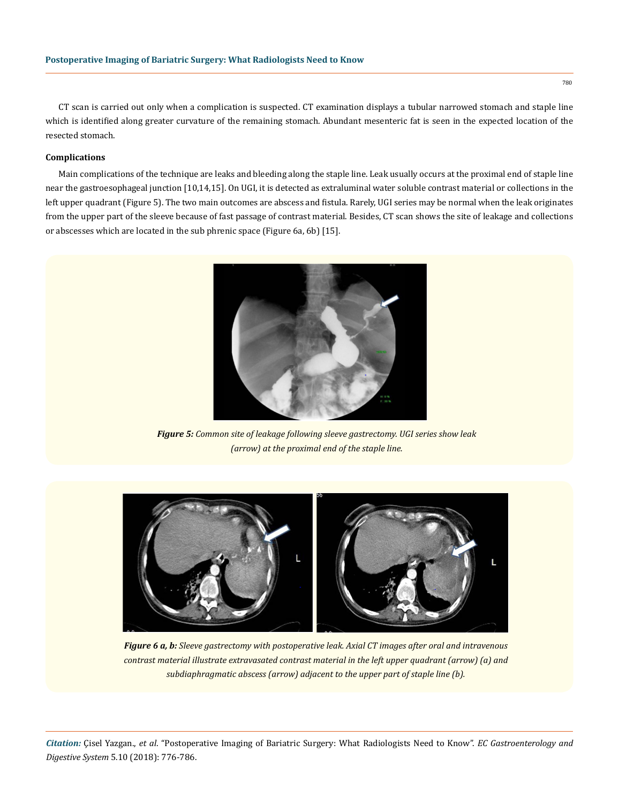CT scan is carried out only when a complication is suspected. CT examination displays a tubular narrowed stomach and staple line which is identified along greater curvature of the remaining stomach. Abundant mesenteric fat is seen in the expected location of the resected stomach.

## **Complications**

Main complications of the technique are leaks and bleeding along the staple line. Leak usually occurs at the proximal end of staple line near the gastroesophageal junction [10,14,15]. On UGI, it is detected as extraluminal water soluble contrast material or collections in the left upper quadrant (Figure 5). The two main outcomes are abscess and fistula. Rarely, UGI series may be normal when the leak originates from the upper part of the sleeve because of fast passage of contrast material. Besides, CT scan shows the site of leakage and collections or abscesses which are located in the sub phrenic space (Figure 6a, 6b) [15].



*Figure 5: Common site of leakage following sleeve gastrectomy. UGI series show leak (arrow) at the proximal end of the staple line.*



*Figure 6 a, b: Sleeve gastrectomy with postoperative leak. Axial CT images after oral and intravenous contrast material illustrate extravasated contrast material in the left upper quadrant (arrow) (a) and subdiaphragmatic abscess (arrow) adjacent to the upper part of staple line (b).*

*Citation:* Çisel Yazgan., *et al*. "Postoperative Imaging of Bariatric Surgery: What Radiologists Need to Know". *EC Gastroenterology and Digestive System* 5.10 (2018): 776-786.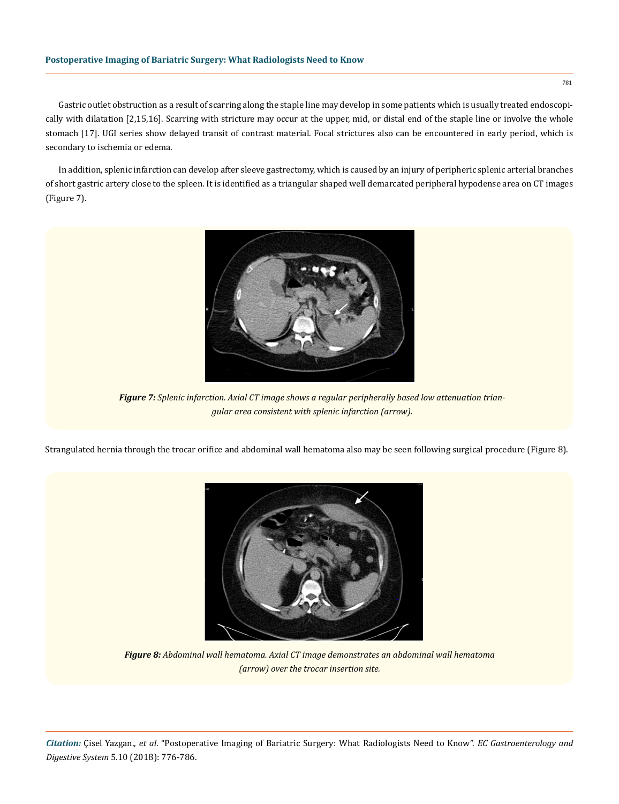## **Postoperative Imaging of Bariatric Surgery: What Radiologists Need to Know**

Gastric outlet obstruction as a result of scarring along the staple line may develop in some patients which is usually treated endoscopically with dilatation [2,15,16]. Scarring with stricture may occur at the upper, mid, or distal end of the staple line or involve the whole stomach [17]. UGI series show delayed transit of contrast material. Focal strictures also can be encountered in early period, which is secondary to ischemia or edema.

In addition, splenic infarction can develop after sleeve gastrectomy, which is caused by an injury of peripheric splenic arterial branches of short gastric artery close to the spleen. It is identified as a triangular shaped well demarcated peripheral hypodense area on CT images (Figure 7).



*Figure 7: Splenic infarction. Axial CT image shows a regular peripherally based low attenuation triangular area consistent with splenic infarction (arrow).*

Strangulated hernia through the trocar orifice and abdominal wall hematoma also may be seen following surgical procedure (Figure 8).



*Figure 8: Abdominal wall hematoma. Axial CT image demonstrates an abdominal wall hematoma (arrow) over the trocar insertion site.*

*Citation:* Çisel Yazgan., *et al*. "Postoperative Imaging of Bariatric Surgery: What Radiologists Need to Know". *EC Gastroenterology and Digestive System* 5.10 (2018): 776-786.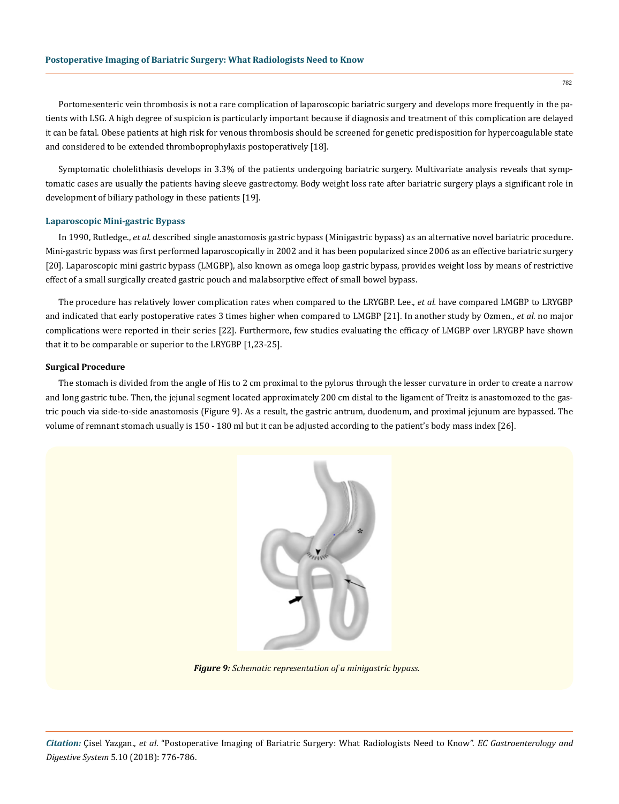Portomesenteric vein thrombosis is not a rare complication of laparoscopic bariatric surgery and develops more frequently in the patients with LSG. A high degree of suspicion is particularly important because if diagnosis and treatment of this complication are delayed it can be fatal. Obese patients at high risk for venous thrombosis should be screened for genetic predisposition for hypercoagulable state and considered to be extended thromboprophylaxis postoperatively [18].

Symptomatic cholelithiasis develops in 3.3% of the patients undergoing bariatric surgery. Multivariate analysis reveals that symptomatic cases are usually the patients having sleeve gastrectomy. Body weight loss rate after bariatric surgery plays a significant role in development of biliary pathology in these patients [19].

#### **Laparoscopic Mini-gastric Bypass**

In 1990, Rutledge., *et al.* described single anastomosis gastric bypass (Minigastric bypass) as an alternative novel bariatric procedure. Mini-gastric bypass was first performed laparoscopically in 2002 and it has been popularized since 2006 as an effective bariatric surgery [20]. Laparoscopic mini gastric bypass (LMGBP), also known as omega loop gastric bypass, provides weight loss by means of restrictive effect of a small surgically created gastric pouch and malabsorptive effect of small bowel bypass.

The procedure has relatively lower complication rates when compared to the LRYGBP. Lee., *et al.* have compared LMGBP to LRYGBP and indicated that early postoperative rates 3 times higher when compared to LMGBP [21]. In another study by Ozmen., *et al.* no major complications were reported in their series [22]. Furthermore, few studies evaluating the efficacy of LMGBP over LRYGBP have shown that it to be comparable or superior to the LRYGBP [1,23-25].

## **Surgical Procedure**

The stomach is divided from the angle of His to 2 cm proximal to the pylorus through the lesser curvature in order to create a narrow and long gastric tube. Then, the jejunal segment located approximately 200 cm distal to the ligament of Treitz is anastomozed to the gastric pouch via side-to-side anastomosis (Figure 9). As a result, the gastric antrum, duodenum, and proximal jejunum are bypassed. The volume of remnant stomach usually is 150 - 180 ml but it can be adjusted according to the patient's body mass index [26].



*Figure 9: Schematic representation of a minigastric bypass.*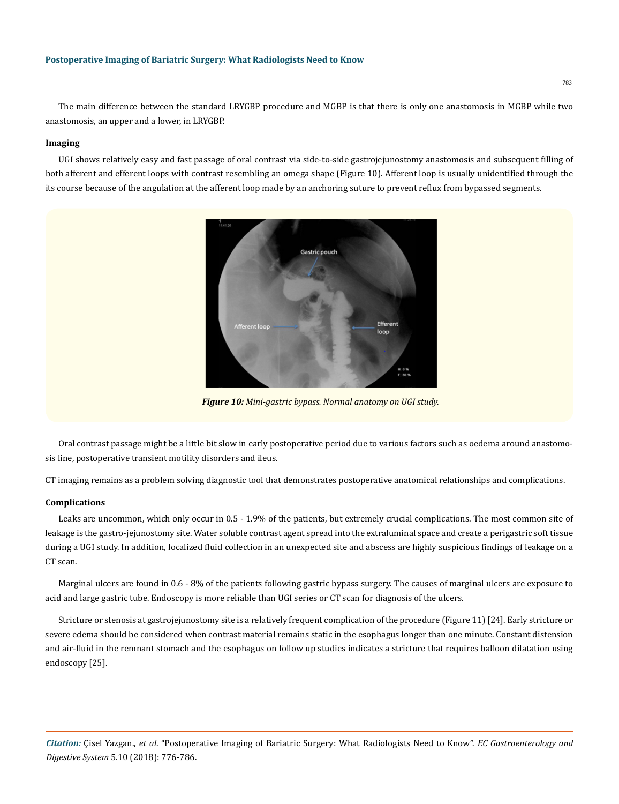The main difference between the standard LRYGBP procedure and MGBP is that there is only one anastomosis in MGBP while two anastomosis, an upper and a lower, in LRYGBP.

## **Imaging**

UGI shows relatively easy and fast passage of oral contrast via side-to-side gastrojejunostomy anastomosis and subsequent filling of both afferent and efferent loops with contrast resembling an omega shape (Figure 10). Afferent loop is usually unidentified through the its course because of the angulation at the afferent loop made by an anchoring suture to prevent reflux from bypassed segments.



*Figure 10: Mini-gastric bypass. Normal anatomy on UGI study.*

Oral contrast passage might be a little bit slow in early postoperative period due to various factors such as oedema around anastomosis line, postoperative transient motility disorders and ileus.

CT imaging remains as a problem solving diagnostic tool that demonstrates postoperative anatomical relationships and complications.

#### **Complications**

Leaks are uncommon, which only occur in 0.5 - 1.9% of the patients, but extremely crucial complications. The most common site of leakage is the gastro-jejunostomy site. Water soluble contrast agent spread into the extraluminal space and create a perigastric soft tissue during a UGI study. In addition, localized fluid collection in an unexpected site and abscess are highly suspicious findings of leakage on a CT scan.

Marginal ulcers are found in 0.6 - 8% of the patients following gastric bypass surgery. The causes of marginal ulcers are exposure to acid and large gastric tube. Endoscopy is more reliable than UGI series or CT scan for diagnosis of the ulcers.

Stricture or stenosis at gastrojejunostomy site is a relatively frequent complication of the procedure (Figure 11) [24]. Early stricture or severe edema should be considered when contrast material remains static in the esophagus longer than one minute. Constant distension and air-fluid in the remnant stomach and the esophagus on follow up studies indicates a stricture that requires balloon dilatation using endoscopy [25].

*Citation:* Çisel Yazgan., *et al*. "Postoperative Imaging of Bariatric Surgery: What Radiologists Need to Know". *EC Gastroenterology and Digestive System* 5.10 (2018): 776-786.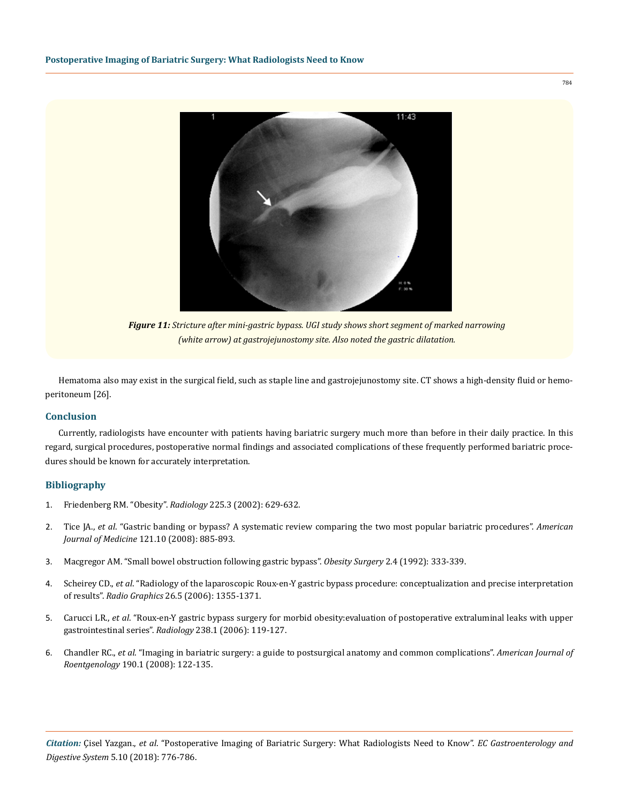

*Figure 11: Stricture after mini-gastric bypass. UGI study shows short segment of marked narrowing (white arrow) at gastrojejunostomy site. Also noted the gastric dilatation.*

Hematoma also may exist in the surgical field, such as staple line and gastrojejunostomy site. CT shows a high-density fluid or hemoperitoneum [26].

## **Conclusion**

Currently, radiologists have encounter with patients having bariatric surgery much more than before in their daily practice. In this regard, surgical procedures, postoperative normal findings and associated complications of these frequently performed bariatric procedures should be known for accurately interpretation.

## **Bibliography**

- 1. [Friedenberg RM. "Obesity".](https://pubs.rsna.org/doi/10.1148/radiol.2253020937) *Radiology* 225.3 (2002): 629-632.
- 2. Tice JA., *et al*[. "Gastric banding or bypass? A systematic review comparing the two most popular bariatric procedures".](https://www.ncbi.nlm.nih.gov/pubmed/18823860) *American Journal of Medicine* [121.10 \(2008\): 885-893.](https://www.ncbi.nlm.nih.gov/pubmed/18823860)
- 3. [Macgregor AM. "Small bowel obstruction following gastric bypass".](https://www.ncbi.nlm.nih.gov/pubmed/10765193) *Obesity Surgery* 2.4 (1992): 333-339.
- 4. Scheirey CD., *et al*[. "Radiology of the laparoscopic Roux-en-Y gastric bypass procedure: conceptualization and precise interpretation](https://pubs.rsna.org/doi/10.1148/rg.265055123)  of results". *Radio Graphics* [26.5 \(2006\): 1355-1371.](https://pubs.rsna.org/doi/10.1148/rg.265055123)
- 5. Carucci LR., *et al*[. "Roux-en-Y gastric bypass surgery for morbid obesity:evaluation of postoperative extraluminal leaks with upper](https://www.ncbi.nlm.nih.gov/pubmed/16373763)  gastrointestinal series". *Radiology* [238.1 \(2006\): 119-127.](https://www.ncbi.nlm.nih.gov/pubmed/16373763)
- 6. Chandler RC., *et al*[. "Imaging in bariatric surgery: a guide to postsurgical anatomy and common complications".](https://www.ncbi.nlm.nih.gov/pubmed/18094302) *American Journal of Roentgenology* [190.1 \(2008\): 122-135.](https://www.ncbi.nlm.nih.gov/pubmed/18094302)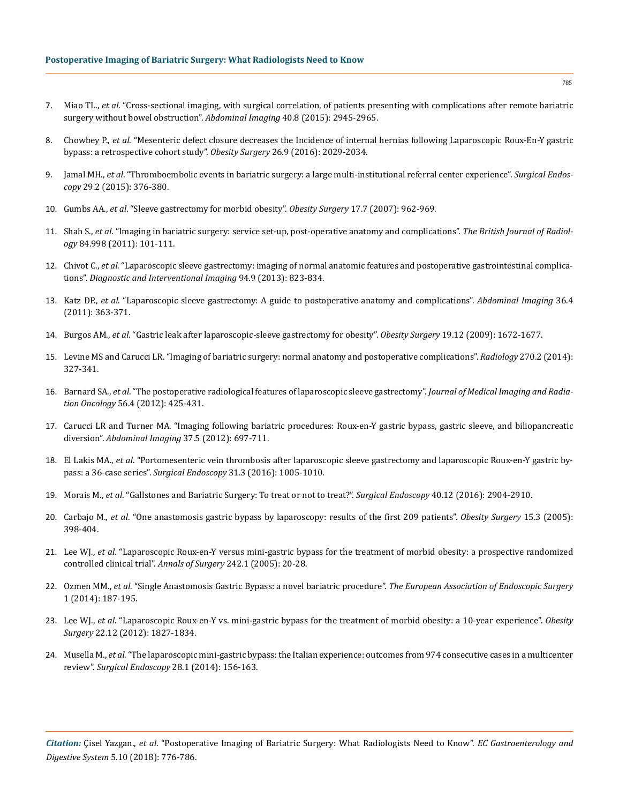- 7. Miao TL., *et al*[. "Cross-sectional imaging, with surgical correlation, of patients presenting with complications after remote bariatric](https://link.springer.com/article/10.1007/s00261-015-0548-z)  [surgery without bowel obstruction".](https://link.springer.com/article/10.1007/s00261-015-0548-z) *Abdominal Imaging* 40.8 (2015): 2945-2965.
- 8. Chowbey P., *et al*[. "Mesenteric defect closure decreases the Incidence of internal hernias following Laparoscopic Roux-En-Y gastric](https://www.ncbi.nlm.nih.gov/pubmed/26757920) [bypass: a retrospective cohort study".](https://www.ncbi.nlm.nih.gov/pubmed/26757920) *Obesity Surgery* 26.9 (2016): 2029-2034.
- 9. Jamal MH., *et al*[. "Thromboembolic events in bariatric surgery: a large multi-institutional referral center experience".](https://www.ncbi.nlm.nih.gov/pubmed/24986019) *Surgical Endoscopy* [29.2 \(2015\): 376-380.](https://www.ncbi.nlm.nih.gov/pubmed/24986019)
- 10. Gumbs AA., *et al*[. "Sleeve gastrectomy for morbid obesity".](https://www.ncbi.nlm.nih.gov/pubmed/17894158) *Obesity Surgery* 17.7 (2007): 962-969.
- 11. Shah S., *et al*[. "Imaging in bariatric surgery: service set-up, post-operative anatomy and complications".](https://www.ncbi.nlm.nih.gov/pmc/articles/PMC3473858/) *The British Journal of Radiology* [84.998 \(2011\): 101-111.](https://www.ncbi.nlm.nih.gov/pmc/articles/PMC3473858/)
- 12. Chivot C., *et al*[. "Laparoscopic sleeve gastrectomy: imaging of normal anatomic features and postoperative gastrointestinal complica](https://www.ncbi.nlm.nih.gov/pubmed/23707144)tions". *[Diagnostic and Interventional Imaging](https://www.ncbi.nlm.nih.gov/pubmed/23707144)* 94.9 (2013): 823-834.
- 13. Katz DP., *et al*[. "Laparoscopic sleeve gastrectomy: A guide to postoperative anatomy and complications".](https://www.ncbi.nlm.nih.gov/pubmed/21584638) *Abdominal Imaging* 36.4 [\(2011\): 363-371.](https://www.ncbi.nlm.nih.gov/pubmed/21584638)
- 14. Burgos AM., *et al*[. "Gastric leak after laparoscopic-sleeve gastrectomy for obesity".](file:///C:/Users/Mounika/Desktop/ECGDS-18-RW-270/v) *Obesity Surgery* 19.12 (2009): 1672-1677.
- 15. [Levine MS and Carucci LR. "Imaging of bariatric surgery: normal anatomy and postoperative complications".](https://pubs.rsna.org/doi/full/10.1148/radiol.13122520) *Radiology* 270.2 (2014): [327-341.](https://pubs.rsna.org/doi/full/10.1148/radiol.13122520)
- 16. Barnard SA., *et al*[. "The postoperative radiological features of laparoscopic sleeve gastrectomy".](https://onlinelibrary.wiley.com/doi/abs/10.1111/j.1754-9485.2012.02401.x) *Journal of Medical Imaging and Radiation Oncology* [56.4 \(2012\): 425-431.](https://onlinelibrary.wiley.com/doi/abs/10.1111/j.1754-9485.2012.02401.x)
- 17. [Carucci LR and Turner MA. "Imaging following bariatric procedures: Roux-en-Y gastric bypass, gastric sleeve, and biliopancreatic](https://www.ncbi.nlm.nih.gov/pubmed/22527153) diversion". *Abdominal Imaging* [37.5 \(2012\): 697-711.](https://www.ncbi.nlm.nih.gov/pubmed/22527153)
- 18. El Lakis MA., *et al*[. "Portomesenteric vein thrombosis after laparoscopic sleeve gastrectomy and laparoscopic Roux-en-Y gastric by](https://www.ncbi.nlm.nih.gov/pubmed/27387181)pass: a 36-case series". *Surgical Endoscopy* [31.3 \(2016\): 1005-1010.](https://www.ncbi.nlm.nih.gov/pubmed/27387181)
- 19. Morais M., *et al*[. "Gallstones and Bariatric Surgery: To treat or not to treat?".](https://www.ncbi.nlm.nih.gov/pubmed/27412630) *Surgical Endoscopy* 40.12 (2016): 2904-2910.
- 20. Carbajo M., *et al*[. "One anastomosis gastric bypass by laparoscopy: results of the first 209 patients".](https://www.ncbi.nlm.nih.gov/pubmed/15826476) *Obesity Surgery* 15.3 (2005): [398-404.](https://www.ncbi.nlm.nih.gov/pubmed/15826476)
- 21. Lee WJ., *et al*[. "Laparoscopic Roux-en-Y versus mini-gastric bypass for the treatment of morbid obesity: a prospective randomized](https://www.ncbi.nlm.nih.gov/pmc/articles/PMC1357700/) [controlled clinical trial".](https://www.ncbi.nlm.nih.gov/pmc/articles/PMC1357700/) *Annals of Surgery* 242.1 (2005): 20-28.
- 22. Ozmen MM., *et al*[. "Single Anastomosis Gastric Bypass: a novel bariatric procedure".](https://www.researchgate.net/publication/280573422_Single_Anastomosis_Gastric_Bypass_A_Novel_Bariatric_Procedure) *The European Association of Endoscopic Surgery*  [1 \(2014\): 187-195.](https://www.researchgate.net/publication/280573422_Single_Anastomosis_Gastric_Bypass_A_Novel_Bariatric_Procedure)
- 23. Lee WJ., *et al*[. "Laparoscopic Roux-en-Y vs. mini-gastric bypass for the treatment of morbid obesity: a 10-year experience".](https://www.ncbi.nlm.nih.gov/pubmed/23011462) *Obesity Surgery* [22.12 \(2012\): 1827-1834.](https://www.ncbi.nlm.nih.gov/pubmed/23011462)
- 24. Musella M., *et al*[. "The laparoscopic mini-gastric bypass: the Italian experience: outcomes from 974 consecutive cases in a multicenter](https://www.ncbi.nlm.nih.gov/pubmed/23982648) review". *Surgical Endoscopy* [28.1 \(2014\): 156-163.](https://www.ncbi.nlm.nih.gov/pubmed/23982648)

*Citation:* Çisel Yazgan., *et al*. "Postoperative Imaging of Bariatric Surgery: What Radiologists Need to Know". *EC Gastroenterology and Digestive System* 5.10 (2018): 776-786.